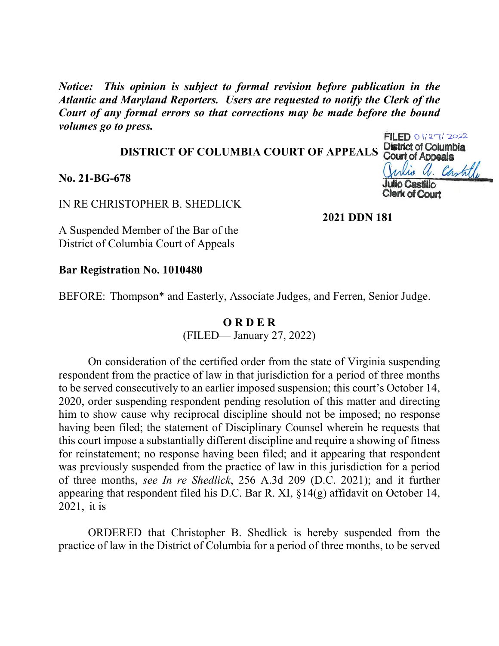*Notice: This opinion is subject to formal revision before publication in the Atlantic and Maryland Reporters. Users are requested to notify the Clerk of the Court of any formal errors so that corrections may be made before the bound volumes go to press.*

## **DISTRICT OF COLUMBIA COURT OF APPEALS**

**No. 21-BG-678**

IN RE CHRISTOPHER B. SHEDLICK

**2021 DDN 181**

A Suspended Member of the Bar of the District of Columbia Court of Appeals

**Bar Registration No. 1010480**

BEFORE: Thompson\* and Easterly, Associate Judges, and Ferren, Senior Judge.

## **O R D E R**

(FILED— January 27, 2022)

On consideration of the certified order from the state of Virginia suspending respondent from the practice of law in that jurisdiction for a period of three months to be served consecutively to an earlier imposed suspension; this court's October 14, 2020, order suspending respondent pending resolution of this matter and directing him to show cause why reciprocal discipline should not be imposed; no response having been filed; the statement of Disciplinary Counsel wherein he requests that this court impose a substantially different discipline and require a showing of fitness for reinstatement; no response having been filed; and it appearing that respondent was previously suspended from the practice of law in this jurisdiction for a period of three months, *see In re Shedlick*, 256 A.3d 209 (D.C. 2021); and it further appearing that respondent filed his D.C. Bar R. XI, §14(g) affidavit on October 14, 2021, it is

ORDERED that Christopher B. Shedlick is hereby suspended from the practice of law in the District of Columbia for a period of three months, to be served

 $FILED 01/27/2022$ District of Columbia Court of Appeals 1. Castille **Clerk of Court**